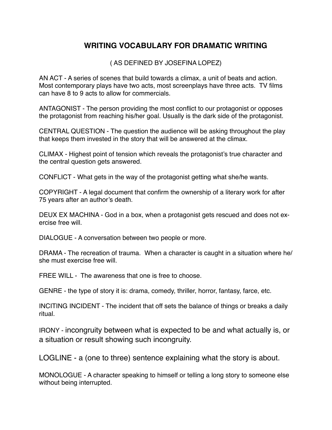## **WRITING VOCABULARY FOR DRAMATIC WRITING**

( AS DEFINED BY JOSEFINA LOPEZ)

AN ACT - A series of scenes that build towards a climax, a unit of beats and action. Most contemporary plays have two acts, most screenplays have three acts. TV films can have 8 to 9 acts to allow for commercials.

ANTAGONIST - The person providing the most conflict to our protagonist or opposes the protagonist from reaching his/her goal. Usually is the dark side of the protagonist.

CENTRAL QUESTION - The question the audience will be asking throughout the play that keeps them invested in the story that will be answered at the climax.

CLIMAX - Highest point of tension which reveals the protagonist's true character and the central question gets answered.

CONFLICT - What gets in the way of the protagonist getting what she/he wants.

COPYRIGHT - A legal document that confirm the ownership of a literary work for after 75 years after an author's death.

DEUX EX MACHINA - God in a box, when a protagonist gets rescued and does not exercise free will.

DIALOGUE - A conversation between two people or more.

DRAMA - The recreation of trauma. When a character is caught in a situation where he/ she must exercise free will.

FREE WILL - The awareness that one is free to choose.

GENRE - the type of story it is: drama, comedy, thriller, horror, fantasy, farce, etc.

INCITING INCIDENT - The incident that off sets the balance of things or breaks a daily ritual.

IRONY - incongruity between what is expected to be and what actually is, or a situation or result showing such incongruity.

LOGLINE - a (one to three) sentence explaining what the story is about.

MONOLOGUE - A character speaking to himself or telling a long story to someone else without being interrupted.